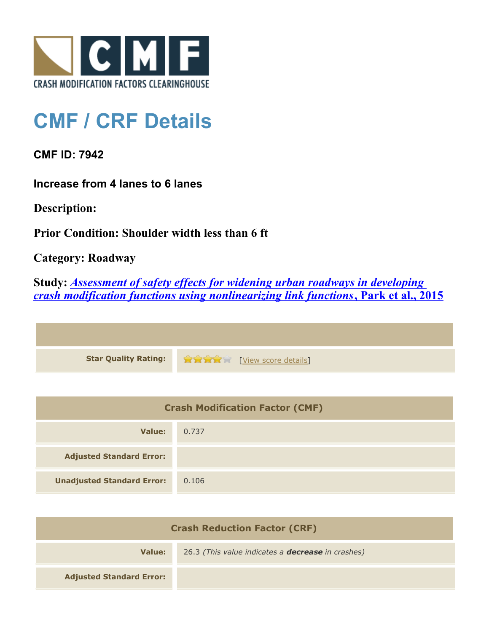

## **CMF / CRF Details**

**CMF ID: 7942**

**Increase from 4 lanes to 6 lanes**

**Description:** 

**Prior Condition: Shoulder width less than 6 ft**

**Category: Roadway**

**Study:** *[Assessment of safety effects for widening urban roadways in developing](http://www.cmfclearinghouse.org/study_detail.cfm?stid=438) [crash modification functions using nonlinearizing link functions](http://www.cmfclearinghouse.org/study_detail.cfm?stid=438)***[, Park et al., 2015](http://www.cmfclearinghouse.org/study_detail.cfm?stid=438)**

| Star Quality Rating: 12 Part 1 [View score details] |
|-----------------------------------------------------|

| <b>Crash Modification Factor (CMF)</b> |       |
|----------------------------------------|-------|
| Value:                                 | 0.737 |
| <b>Adjusted Standard Error:</b>        |       |
| <b>Unadjusted Standard Error:</b>      | 0.106 |

| <b>Crash Reduction Factor (CRF)</b> |                                                          |
|-------------------------------------|----------------------------------------------------------|
| Value:                              | 26.3 (This value indicates a <b>decrease</b> in crashes) |
| <b>Adjusted Standard Error:</b>     |                                                          |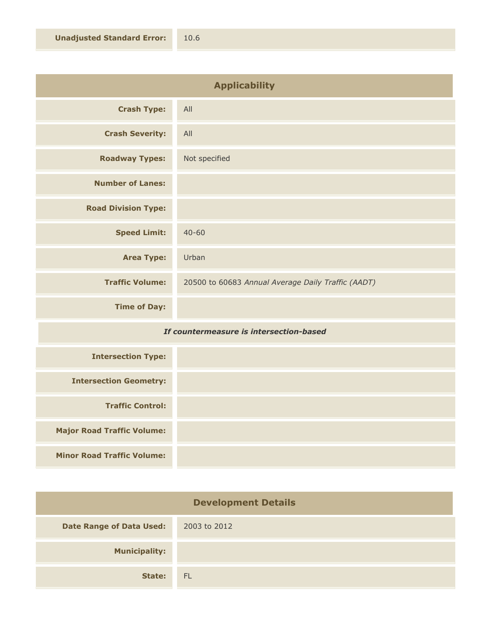| <b>Applicability</b>       |                                                    |
|----------------------------|----------------------------------------------------|
| <b>Crash Type:</b>         | All                                                |
| <b>Crash Severity:</b>     | All                                                |
| <b>Roadway Types:</b>      | Not specified                                      |
| <b>Number of Lanes:</b>    |                                                    |
| <b>Road Division Type:</b> |                                                    |
| <b>Speed Limit:</b>        | $40 - 60$                                          |
| <b>Area Type:</b>          | Urban                                              |
| <b>Traffic Volume:</b>     | 20500 to 60683 Annual Average Daily Traffic (AADT) |
| <b>Time of Day:</b>        |                                                    |
| .<br>$-1$                  |                                                    |

## *If countermeasure is intersection-based*

| <b>Intersection Type:</b>         |  |
|-----------------------------------|--|
| <b>Intersection Geometry:</b>     |  |
| <b>Traffic Control:</b>           |  |
| <b>Major Road Traffic Volume:</b> |  |
| <b>Minor Road Traffic Volume:</b> |  |

| <b>Development Details</b>      |              |
|---------------------------------|--------------|
| <b>Date Range of Data Used:</b> | 2003 to 2012 |
| <b>Municipality:</b>            |              |
| State:                          | - FL         |